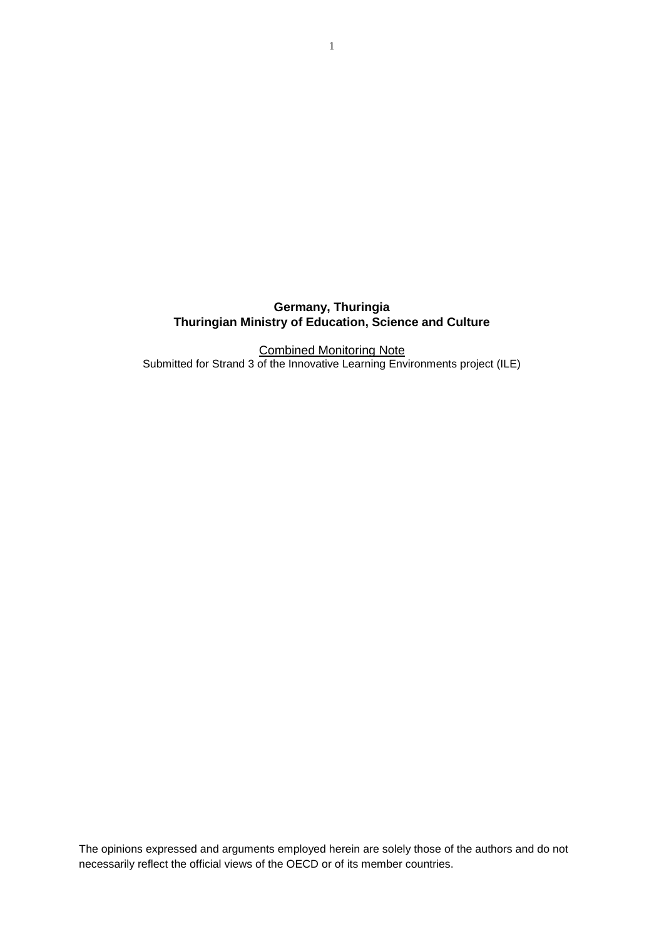**Germany, Thuringia Thuringian Ministry of Education, Science and Culture**

Combined Monitoring Note Submitted for Strand 3 of the Innovative Learning Environments project (ILE)

The opinions expressed and arguments employed herein are solely those of the authors and do not necessarily reflect the official views of the OECD or of its member countries.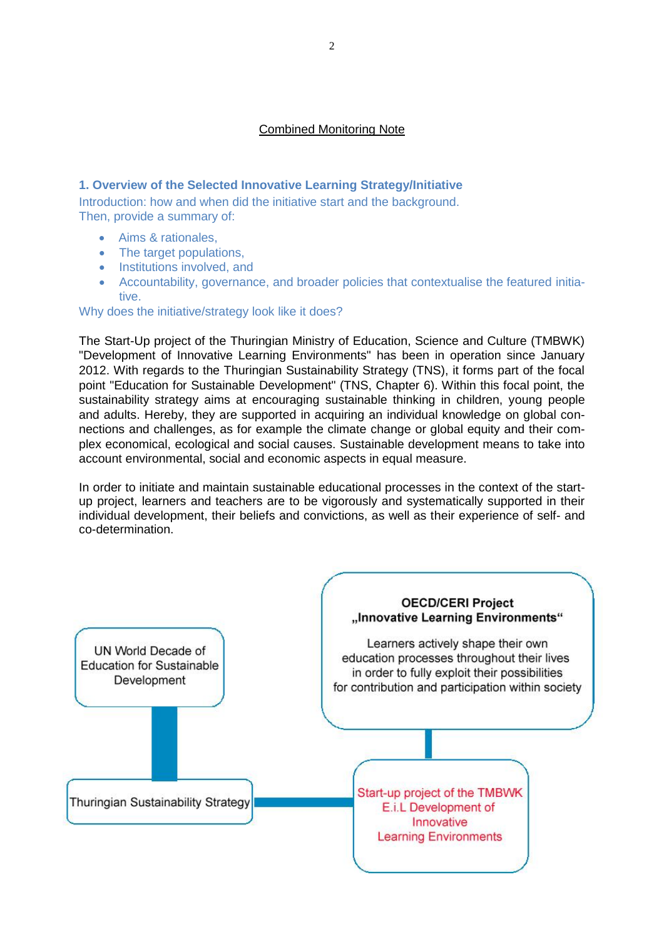### Combined Monitoring Note

## **1. Overview of the Selected Innovative Learning Strategy/Initiative**

Introduction: how and when did the initiative start and the background. Then, provide a summary of:

- Aims & rationales,
- The target populations,
- Institutions involved, and
- Accountability, governance, and broader policies that contextualise the featured initiative.

Why does the initiative/strategy look like it does?

The Start-Up project of the Thuringian Ministry of Education, Science and Culture (TMBWK) "Development of Innovative Learning Environments" has been in operation since January 2012. With regards to the Thuringian Sustainability Strategy (TNS), it forms part of the focal point "Education for Sustainable Development" (TNS, Chapter 6). Within this focal point, the sustainability strategy aims at encouraging sustainable thinking in children, young people and adults. Hereby, they are supported in acquiring an individual knowledge on global connections and challenges, as for example the climate change or global equity and their complex economical, ecological and social causes. Sustainable development means to take into account environmental, social and economic aspects in equal measure.

In order to initiate and maintain sustainable educational processes in the context of the startup project, learners and teachers are to be vigorously and systematically supported in their individual development, their beliefs and convictions, as well as their experience of self- and co-determination.

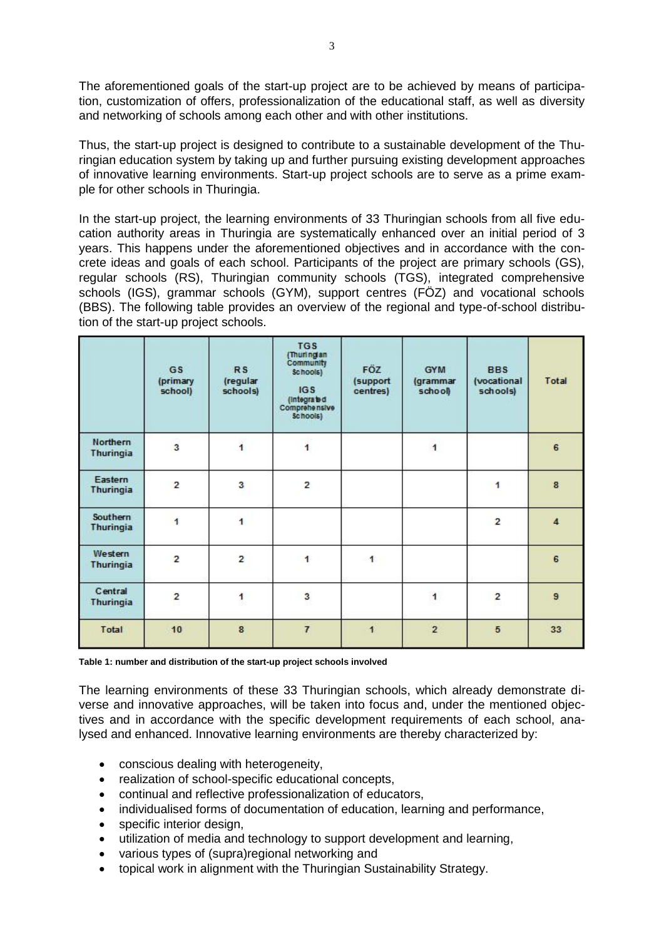The aforementioned goals of the start-up project are to be achieved by means of participation, customization of offers, professionalization of the educational staff, as well as diversity and networking of schools among each other and with other institutions.

Thus, the start-up project is designed to contribute to a sustainable development of the Thuringian education system by taking up and further pursuing existing development approaches of innovative learning environments. Start-up project schools are to serve as a prime example for other schools in Thuringia.

In the start-up project, the learning environments of 33 Thuringian schools from all five education authority areas in Thuringia are systematically enhanced over an initial period of 3 years. This happens under the aforementioned objectives and in accordance with the concrete ideas and goals of each school. Participants of the project are primary schools (GS), regular schools (RS), Thuringian community schools (TGS), integrated comprehensive schools (IGS), grammar schools (GYM), support centres (FÖZ) and vocational schools (BBS). The following table provides an overview of the regional and type-of-school distribution of the start-up project schools.

|                             | <b>GS</b><br>(primary<br>school) | <b>RS</b><br>(regular<br>schools) | <b>TGS</b><br>(Thuringian<br>Community<br>Schools)<br>IGS<br>(integrated)<br>Comprehensive<br>Schools) | FÖZ<br>(support<br>centres) | <b>GYM</b><br>(grammar<br>school) | <b>BBS</b><br>(vocational<br>schools) | Total          |
|-----------------------------|----------------------------------|-----------------------------------|--------------------------------------------------------------------------------------------------------|-----------------------------|-----------------------------------|---------------------------------------|----------------|
| Northern<br>Thuringia       | 3                                | $\ddot{\mathbf{1}}$               | $\ddot{\mathbf{1}}$                                                                                    |                             | 1                                 |                                       | 6              |
| Eastern<br>Thuringia        | $\overline{2}$                   | 3                                 | $\mathbf{z}$                                                                                           |                             |                                   | 1                                     | 8              |
| Southern<br>Thuringia       | 1                                | 1                                 |                                                                                                        |                             |                                   | $\overline{2}$                        | $\overline{4}$ |
| Western<br><b>Thuringia</b> | $\overline{2}$                   | $\overline{2}$                    | $\mathbf{1}$                                                                                           | 1                           |                                   |                                       | 6              |
| Central<br>Thuringia        | $\overline{2}$                   | $\mathbf{1}$                      | 3                                                                                                      |                             | 1                                 | $\overline{\mathbf{c}}$               | $\overline{9}$ |
| Total                       | 10                               | $\bf{8}$                          | $\overline{7}$                                                                                         | $\blacktriangleleft$        | $\overline{2}$                    | 5                                     | 33             |

**Table 1: number and distribution of the start-up project schools involved**

The learning environments of these 33 Thuringian schools, which already demonstrate diverse and innovative approaches, will be taken into focus and, under the mentioned objectives and in accordance with the specific development requirements of each school, analysed and enhanced. Innovative learning environments are thereby characterized by:

- conscious dealing with heterogeneity,
- realization of school-specific educational concepts,
- continual and reflective professionalization of educators,
- individualised forms of documentation of education, learning and performance,
- specific interior design.
- utilization of media and technology to support development and learning,
- various types of (supra)regional networking and
- topical work in alignment with the Thuringian Sustainability Strategy.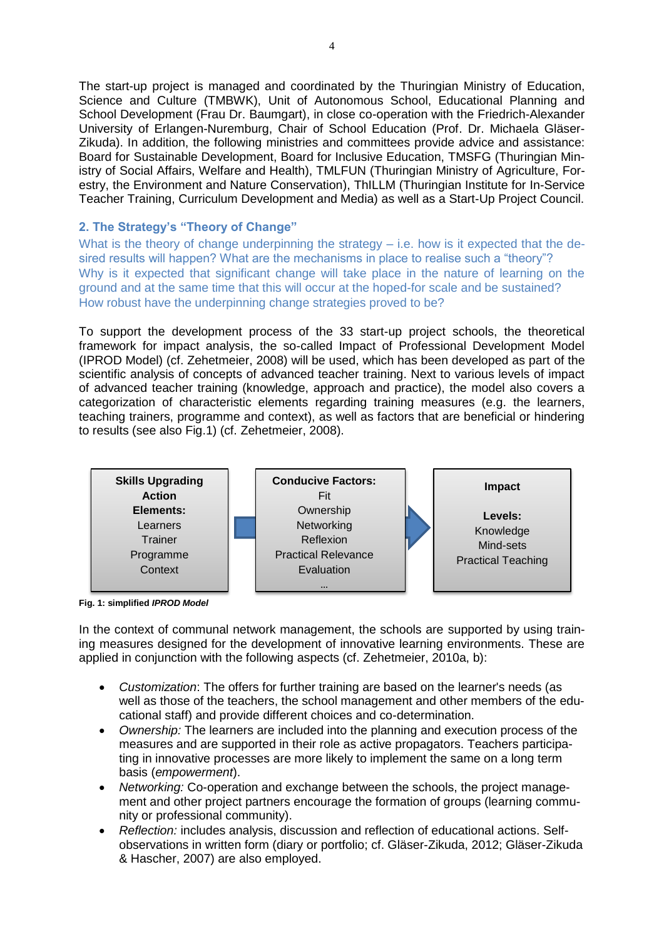The start-up project is managed and coordinated by the Thuringian Ministry of Education, Science and Culture (TMBWK), Unit of Autonomous School, Educational Planning and School Development (Frau Dr. Baumgart), in close co-operation with the Friedrich-Alexander University of Erlangen-Nuremburg, Chair of School Education (Prof. Dr. Michaela Gläser-Zikuda). In addition, the following ministries and committees provide advice and assistance: Board for Sustainable Development, Board for Inclusive Education, TMSFG (Thuringian Ministry of Social Affairs, Welfare and Health), TMLFUN (Thuringian Ministry of Agriculture, Forestry, the Environment and Nature Conservation), ThILLM (Thuringian Institute for In-Service Teacher Training, Curriculum Development and Media) as well as a Start-Up Project Council.

# **2. The Strategy's "Theory of Change"**

What is the theory of change underpinning the strategy  $-$  i.e. how is it expected that the desired results will happen? What are the mechanisms in place to realise such a "theory"? Why is it expected that significant change will take place in the nature of learning on the ground and at the same time that this will occur at the hoped-for scale and be sustained? How robust have the underpinning change strategies proved to be?

To support the development process of the 33 start-up project schools, the theoretical framework for impact analysis, the so-called Impact of Professional Development Model (IPROD Model) (cf. Zehetmeier, 2008) will be used, which has been developed as part of the scientific analysis of concepts of advanced teacher training. Next to various levels of impact of advanced teacher training (knowledge, approach and practice), the model also covers a categorization of characteristic elements regarding training measures (e.g. the learners, teaching trainers, programme and context), as well as factors that are beneficial or hindering to results (see also Fig.1) (cf. Zehetmeier, 2008).



**Fig. 1: simplified** *IPROD Model*

In the context of communal network management, the schools are supported by using training measures designed for the development of innovative learning environments. These are applied in conjunction with the following aspects (cf. Zehetmeier, 2010a, b):

- *Customization*: The offers for further training are based on the learner's needs (as well as those of the teachers, the school management and other members of the educational staff) and provide different choices and co-determination.
- *Ownership:* The learners are included into the planning and execution process of the measures and are supported in their role as active propagators. Teachers participating in innovative processes are more likely to implement the same on a long term basis (*empowerment*).
- *Networking:* Co-operation and exchange between the schools, the project management and other project partners encourage the formation of groups (learning community or professional community).
- *Reflection:* includes analysis, discussion and reflection of educational actions. Selfobservations in written form (diary or portfolio; cf. Gläser-Zikuda, 2012; Gläser-Zikuda & Hascher, 2007) are also employed.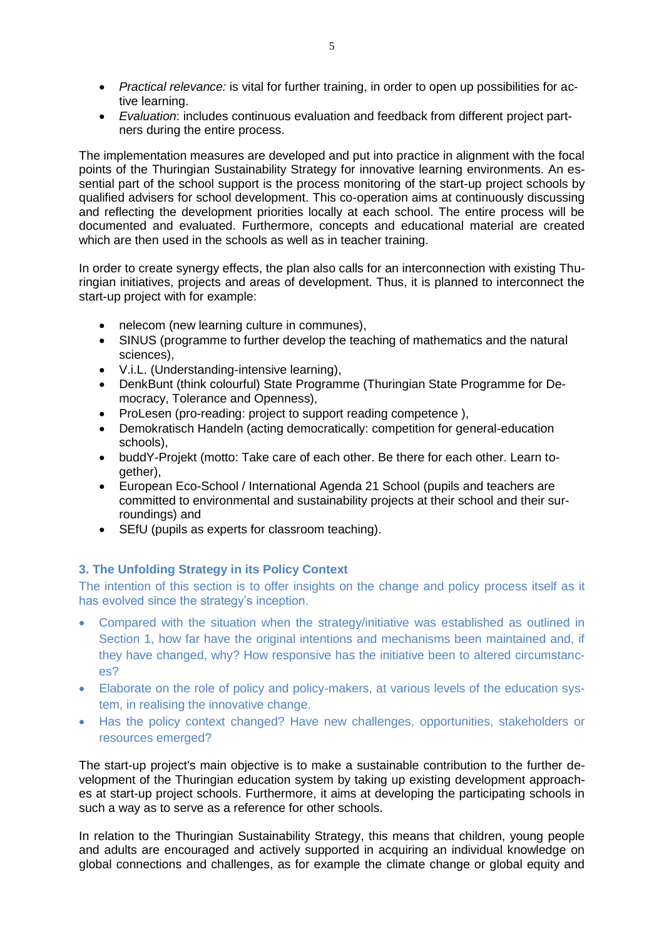- *Practical relevance:* is vital for further training, in order to open up possibilities for active learning.
- *Evaluation*: includes continuous evaluation and feedback from different project partners during the entire process.

The implementation measures are developed and put into practice in alignment with the focal points of the Thuringian Sustainability Strategy for innovative learning environments. An essential part of the school support is the process monitoring of the start-up project schools by qualified advisers for school development. This co-operation aims at continuously discussing and reflecting the development priorities locally at each school. The entire process will be documented and evaluated. Furthermore, concepts and educational material are created which are then used in the schools as well as in teacher training.

In order to create synergy effects, the plan also calls for an interconnection with existing Thuringian initiatives, projects and areas of development. Thus, it is planned to interconnect the start-up project with for example:

- nelecom (new learning culture in communes).
- SINUS (programme to further develop the teaching of mathematics and the natural sciences),
- V.i.L. (Understanding-intensive learning),
- DenkBunt (think colourful) State Programme (Thuringian State Programme for Democracy, Tolerance and Openness),
- ProLesen (pro-reading: project to support reading competence),
- Demokratisch Handeln (acting democratically: competition for general-education schools),
- buddY-Projekt (motto: Take care of each other. Be there for each other. Learn together),
- European Eco-School / International Agenda 21 School (pupils and teachers are committed to environmental and sustainability projects at their school and their surroundings) and
- SEfU (pupils as experts for classroom teaching).

### **3. The Unfolding Strategy in its Policy Context**

The intention of this section is to offer insights on the change and policy process itself as it has evolved since the strategy's inception.

- Compared with the situation when the strategy/initiative was established as outlined in Section 1, how far have the original intentions and mechanisms been maintained and, if they have changed, why? How responsive has the initiative been to altered circumstances?
- Elaborate on the role of policy and policy-makers, at various levels of the education system, in realising the innovative change.
- Has the policy context changed? Have new challenges, opportunities, stakeholders or resources emerged?

The start-up project's main objective is to make a sustainable contribution to the further development of the Thuringian education system by taking up existing development approaches at start-up project schools. Furthermore, it aims at developing the participating schools in such a way as to serve as a reference for other schools.

In relation to the Thuringian Sustainability Strategy, this means that children, young people and adults are encouraged and actively supported in acquiring an individual knowledge on global connections and challenges, as for example the climate change or global equity and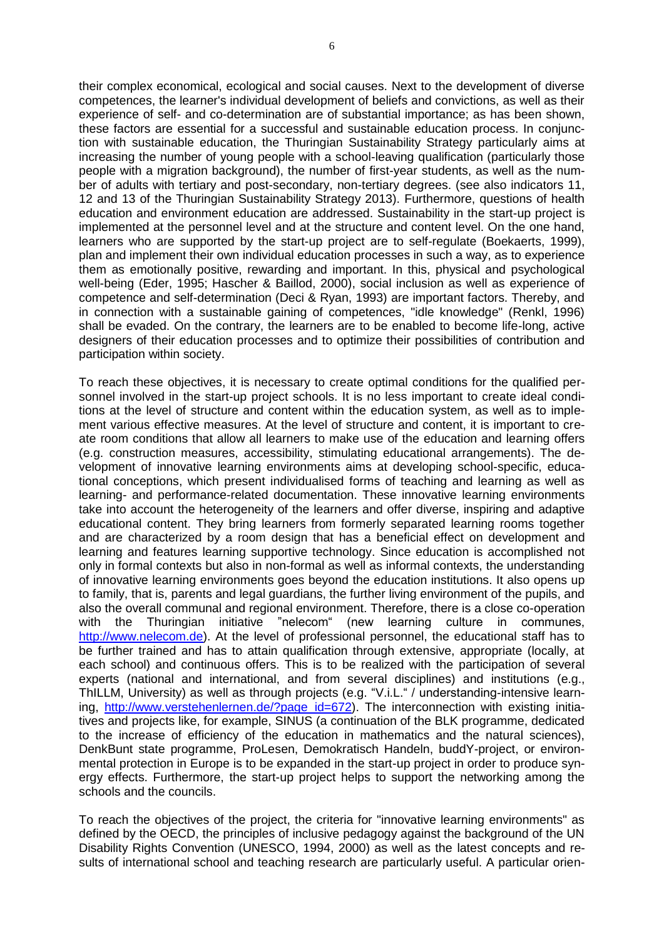their complex economical, ecological and social causes. Next to the development of diverse competences, the learner's individual development of beliefs and convictions, as well as their experience of self- and co-determination are of substantial importance; as has been shown, these factors are essential for a successful and sustainable education process. In conjunction with sustainable education, the Thuringian Sustainability Strategy particularly aims at increasing the number of young people with a school-leaving qualification (particularly those people with a migration background), the number of first-year students, as well as the number of adults with tertiary and post-secondary, non-tertiary degrees. (see also indicators 11, 12 and 13 of the Thuringian Sustainability Strategy 2013). Furthermore, questions of health education and environment education are addressed. Sustainability in the start-up project is implemented at the personnel level and at the structure and content level. On the one hand, learners who are supported by the start-up project are to self-regulate (Boekaerts, 1999), plan and implement their own individual education processes in such a way, as to experience them as emotionally positive, rewarding and important. In this, physical and psychological well-being (Eder, 1995; Hascher & Baillod, 2000), social inclusion as well as experience of competence and self-determination (Deci & Ryan, 1993) are important factors. Thereby, and in connection with a sustainable gaining of competences, "idle knowledge" (Renkl, 1996) shall be evaded. On the contrary, the learners are to be enabled to become life-long, active designers of their education processes and to optimize their possibilities of contribution and participation within society.

To reach these objectives, it is necessary to create optimal conditions for the qualified personnel involved in the start-up project schools. It is no less important to create ideal conditions at the level of structure and content within the education system, as well as to implement various effective measures. At the level of structure and content, it is important to create room conditions that allow all learners to make use of the education and learning offers (e.g. construction measures, accessibility, stimulating educational arrangements). The development of innovative learning environments aims at developing school-specific, educational conceptions, which present individualised forms of teaching and learning as well as learning- and performance-related documentation. These innovative learning environments take into account the heterogeneity of the learners and offer diverse, inspiring and adaptive educational content. They bring learners from formerly separated learning rooms together and are characterized by a room design that has a beneficial effect on development and learning and features learning supportive technology. Since education is accomplished not only in formal contexts but also in non-formal as well as informal contexts, the understanding of innovative learning environments goes beyond the education institutions. It also opens up to family, that is, parents and legal guardians, the further living environment of the pupils, and also the overall communal and regional environment. Therefore, there is a close co-operation with the Thuringian initiative "nelecom" (new learning culture in communes, http://www.nelecom.de). At the level of professional personnel, the educational staff has to be further trained and has to attain qualification through extensive, appropriate (locally, at each school) and continuous offers. This is to be realized with the participation of several experts (national and international, and from several disciplines) and institutions (e.g., ThILLM, University) as well as through projects (e.g. "V.i.L." / understanding-intensive learning, http://www.verstehenlernen.de/?page\_id=672). The interconnection with existing initiatives and projects like, for example, SINUS (a continuation of the BLK programme, dedicated to the increase of efficiency of the education in mathematics and the natural sciences), DenkBunt state programme, ProLesen, Demokratisch Handeln, buddY-project, or environmental protection in Europe is to be expanded in the start-up project in order to produce synergy effects. Furthermore, the start-up project helps to support the networking among the schools and the councils.

To reach the objectives of the project, the criteria for "innovative learning environments" as defined by the OECD, the principles of inclusive pedagogy against the background of the UN Disability Rights Convention (UNESCO, 1994, 2000) as well as the latest concepts and results of international school and teaching research are particularly useful. A particular orien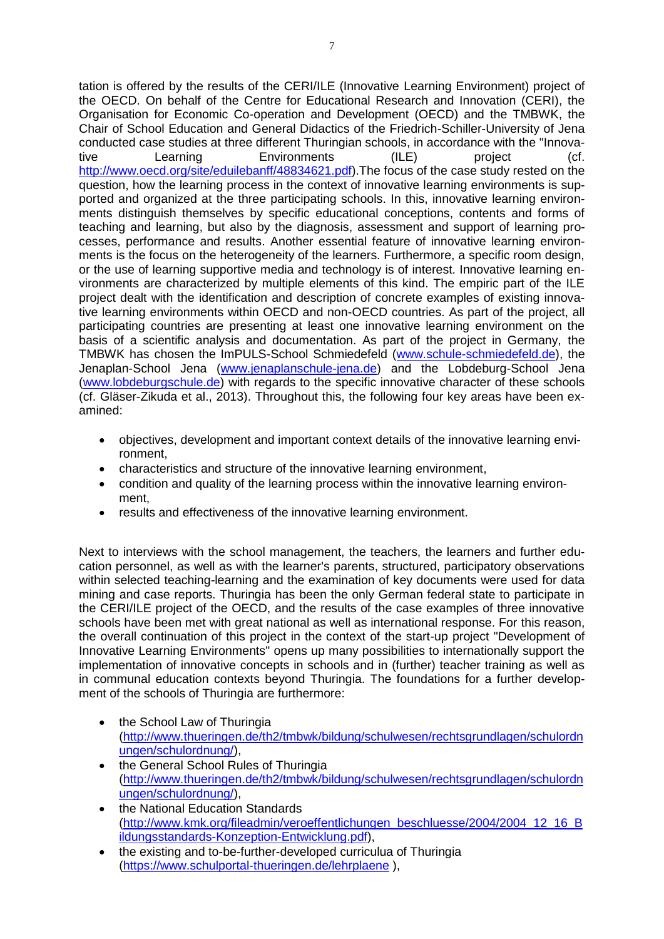tation is offered by the results of the CERI/ILE (Innovative Learning Environment) project of the OECD. On behalf of the Centre for Educational Research and Innovation (CERI), the Organisation for Economic Co-operation and Development (OECD) and the TMBWK, the Chair of School Education and General Didactics of the Friedrich-Schiller-University of Jena conducted case studies at three different Thuringian schools, in accordance with the "Innovative Learning Environments (ILE) project (cf. http://www.oecd.org/site/eduilebanff/48834621.pdf).The focus of the case study rested on the question, how the learning process in the context of innovative learning environments is supported and organized at the three participating schools. In this, innovative learning environments distinguish themselves by specific educational conceptions, contents and forms of teaching and learning, but also by the diagnosis, assessment and support of learning processes, performance and results. Another essential feature of innovative learning environments is the focus on the heterogeneity of the learners. Furthermore, a specific room design, or the use of learning supportive media and technology is of interest. Innovative learning environments are characterized by multiple elements of this kind. The empiric part of the ILE project dealt with the identification and description of concrete examples of existing innovative learning environments within OECD and non-OECD countries. As part of the project, all participating countries are presenting at least one innovative learning environment on the basis of a scientific analysis and documentation. As part of the project in Germany, the TMBWK has chosen the ImPULS-School Schmiedefeld (www.schule-schmiedefeld.de), the Jenaplan-School Jena (www.jenaplanschule-jena.de) and the Lobdeburg-School Jena [\(www.lobdeburgschule.de\)](http://www.lobdeburgschule.de/) with regards to the specific innovative character of these schools (cf. Gläser-Zikuda et al., 2013). Throughout this, the following four key areas have been examined:

- objectives, development and important context details of the innovative learning environment,
- characteristics and structure of the innovative learning environment,
- condition and quality of the learning process within the innovative learning environment,
- results and effectiveness of the innovative learning environment.

Next to interviews with the school management, the teachers, the learners and further education personnel, as well as with the learner's parents, structured, participatory observations within selected teaching-learning and the examination of key documents were used for data mining and case reports. Thuringia has been the only German federal state to participate in the CERI/ILE project of the OECD, and the results of the case examples of three innovative schools have been met with great national as well as international response. For this reason, the overall continuation of this project in the context of the start-up project "Development of Innovative Learning Environments" opens up many possibilities to internationally support the implementation of innovative concepts in schools and in (further) teacher training as well as in communal education contexts beyond Thuringia. The foundations for a further development of the schools of Thuringia are furthermore:

- the School Law of Thuringia [\(http://www.thueringen.de/th2/tmbwk/bildung/schulwesen/rechtsgrundlagen/schulordn](http://www.thueringen.de/th2/tmbwk/bildung/schulwesen/rechtsgrundlagen/schulordnungen/schulordnung/) [ungen/schulordnung/\)](http://www.thueringen.de/th2/tmbwk/bildung/schulwesen/rechtsgrundlagen/schulordnungen/schulordnung/),
- the General School Rules of Thuringia (http://www.thueringen.de/th2/tmbwk/bildung/schulwesen/rechtsgrundlagen/schulordn ungen/schulordnung/),
- the National Education Standards (http://www.kmk.org/fileadmin/veroeffentlichungen\_beschluesse/2004/2004\_12\_16\_B ildungsstandards-Konzeption-Entwicklung.pdf),
- the existing and to-be-further-developed curriculua of Thuringia (https://www.schulportal-thueringen.de/lehrplaene ),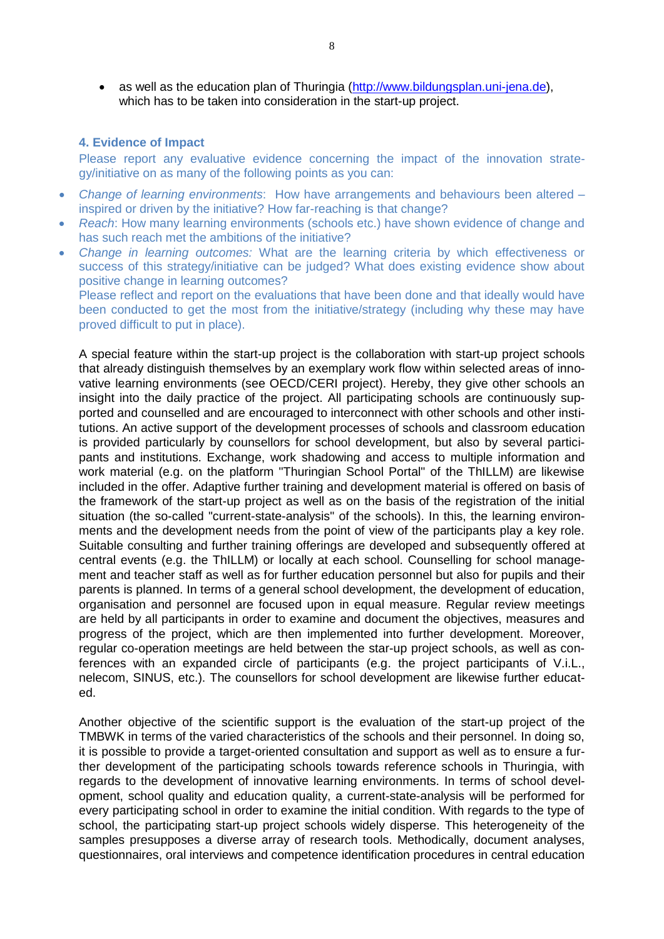• as well as the education plan of Thuringia (http://www.bildungsplan.uni-jena.de), which has to be taken into consideration in the start-up project.

#### **4. Evidence of Impact**

Please report any evaluative evidence concerning the impact of the innovation strategy/initiative on as many of the following points as you can:

- *Change of learning environments*: How have arrangements and behaviours been altered inspired or driven by the initiative? How far-reaching is that change?
- *Reach*: How many learning environments (schools etc.) have shown evidence of change and has such reach met the ambitions of the initiative?
- *Change in learning outcomes:* What are the learning criteria by which effectiveness or success of this strategy/initiative can be judged? What does existing evidence show about positive change in learning outcomes?

Please reflect and report on the evaluations that have been done and that ideally would have been conducted to get the most from the initiative/strategy (including why these may have proved difficult to put in place).

A special feature within the start-up project is the collaboration with start-up project schools that already distinguish themselves by an exemplary work flow within selected areas of innovative learning environments (see OECD/CERI project). Hereby, they give other schools an insight into the daily practice of the project. All participating schools are continuously supported and counselled and are encouraged to interconnect with other schools and other institutions. An active support of the development processes of schools and classroom education is provided particularly by counsellors for school development, but also by several participants and institutions. Exchange, work shadowing and access to multiple information and work material (e.g. on the platform "Thuringian School Portal" of the ThILLM) are likewise included in the offer. Adaptive further training and development material is offered on basis of the framework of the start-up project as well as on the basis of the registration of the initial situation (the so-called "current-state-analysis" of the schools). In this, the learning environments and the development needs from the point of view of the participants play a key role. Suitable consulting and further training offerings are developed and subsequently offered at central events (e.g. the ThILLM) or locally at each school. Counselling for school management and teacher staff as well as for further education personnel but also for pupils and their parents is planned. In terms of a general school development, the development of education, organisation and personnel are focused upon in equal measure. Regular review meetings are held by all participants in order to examine and document the objectives, measures and progress of the project, which are then implemented into further development. Moreover, regular co-operation meetings are held between the star-up project schools, as well as conferences with an expanded circle of participants (e.g. the project participants of V.i.L., nelecom, SINUS, etc.). The counsellors for school development are likewise further educated.

Another objective of the scientific support is the evaluation of the start-up project of the TMBWK in terms of the varied characteristics of the schools and their personnel. In doing so, it is possible to provide a target-oriented consultation and support as well as to ensure a further development of the participating schools towards reference schools in Thuringia, with regards to the development of innovative learning environments. In terms of school development, school quality and education quality, a current-state-analysis will be performed for every participating school in order to examine the initial condition. With regards to the type of school, the participating start-up project schools widely disperse. This heterogeneity of the samples presupposes a diverse array of research tools. Methodically, document analyses, questionnaires, oral interviews and competence identification procedures in central education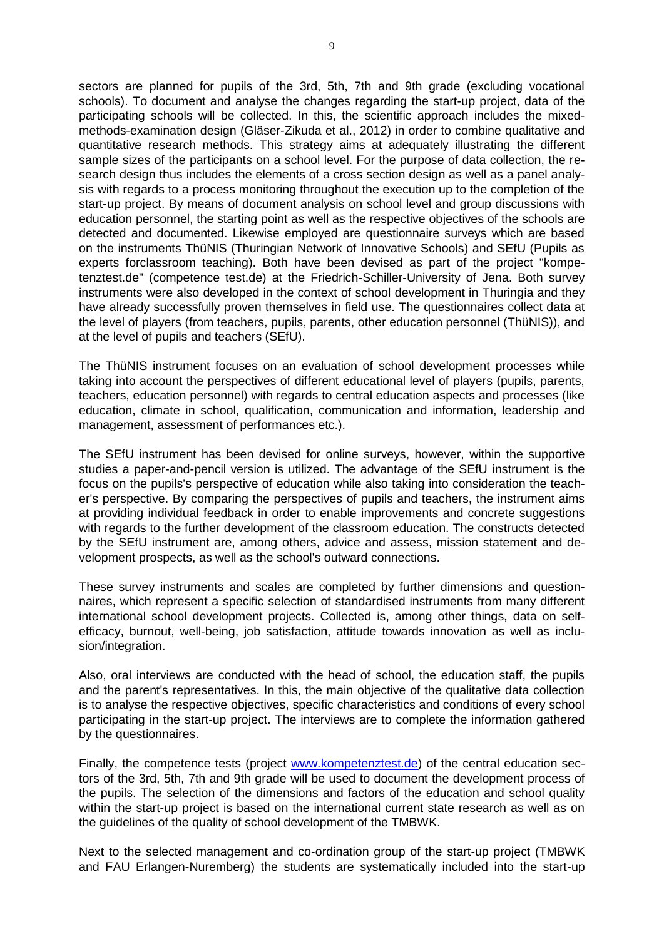sectors are planned for pupils of the 3rd, 5th, 7th and 9th grade (excluding vocational schools). To document and analyse the changes regarding the start-up project, data of the participating schools will be collected. In this, the scientific approach includes the mixedmethods-examination design (Gläser-Zikuda et al., 2012) in order to combine qualitative and quantitative research methods. This strategy aims at adequately illustrating the different sample sizes of the participants on a school level. For the purpose of data collection, the research design thus includes the elements of a cross section design as well as a panel analysis with regards to a process monitoring throughout the execution up to the completion of the start-up project. By means of document analysis on school level and group discussions with education personnel, the starting point as well as the respective objectives of the schools are detected and documented. Likewise employed are questionnaire surveys which are based on the instruments ThüNIS (Thuringian Network of Innovative Schools) and SEfU (Pupils as experts forclassroom teaching). Both have been devised as part of the project "kompetenztest.de" (competence test.de) at the Friedrich-Schiller-University of Jena. Both survey instruments were also developed in the context of school development in Thuringia and they have already successfully proven themselves in field use. The questionnaires collect data at the level of players (from teachers, pupils, parents, other education personnel (ThüNIS)), and at the level of pupils and teachers (SEfU).

The ThüNIS instrument focuses on an evaluation of school development processes while taking into account the perspectives of different educational level of players (pupils, parents, teachers, education personnel) with regards to central education aspects and processes (like education, climate in school, qualification, communication and information, leadership and management, assessment of performances etc.).

The SEfU instrument has been devised for online surveys, however, within the supportive studies a paper-and-pencil version is utilized. The advantage of the SEfU instrument is the focus on the pupils's perspective of education while also taking into consideration the teacher's perspective. By comparing the perspectives of pupils and teachers, the instrument aims at providing individual feedback in order to enable improvements and concrete suggestions with regards to the further development of the classroom education. The constructs detected by the SEfU instrument are, among others, advice and assess, mission statement and development prospects, as well as the school's outward connections.

These survey instruments and scales are completed by further dimensions and questionnaires, which represent a specific selection of standardised instruments from many different international school development projects. Collected is, among other things, data on selfefficacy, burnout, well-being, job satisfaction, attitude towards innovation as well as inclusion/integration.

Also, oral interviews are conducted with the head of school, the education staff, the pupils and the parent's representatives. In this, the main objective of the qualitative data collection is to analyse the respective objectives, specific characteristics and conditions of every school participating in the start-up project. The interviews are to complete the information gathered by the questionnaires.

Finally, the competence tests (project [www.kompetenztest.de\)](http://www.kompetenztest.de/) of the central education sectors of the 3rd, 5th, 7th and 9th grade will be used to document the development process of the pupils. The selection of the dimensions and factors of the education and school quality within the start-up project is based on the international current state research as well as on the guidelines of the quality of school development of the TMBWK.

Next to the selected management and co-ordination group of the start-up project (TMBWK and FAU Erlangen-Nuremberg) the students are systematically included into the start-up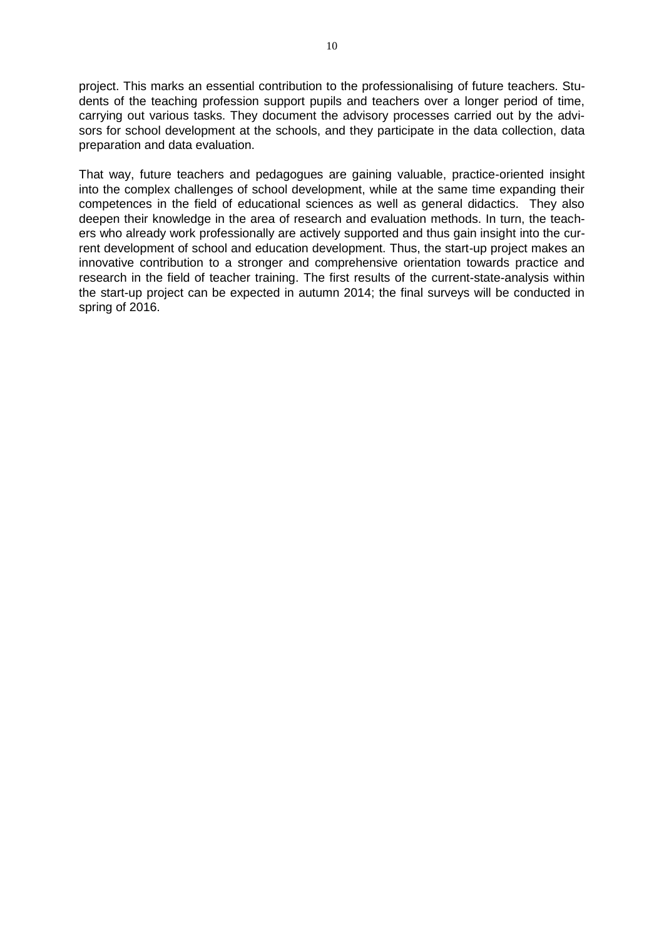project. This marks an essential contribution to the professionalising of future teachers. Students of the teaching profession support pupils and teachers over a longer period of time, carrying out various tasks. They document the advisory processes carried out by the advisors for school development at the schools, and they participate in the data collection, data preparation and data evaluation.

That way, future teachers and pedagogues are gaining valuable, practice-oriented insight into the complex challenges of school development, while at the same time expanding their competences in the field of educational sciences as well as general didactics. They also deepen their knowledge in the area of research and evaluation methods. In turn, the teachers who already work professionally are actively supported and thus gain insight into the current development of school and education development. Thus, the start-up project makes an innovative contribution to a stronger and comprehensive orientation towards practice and research in the field of teacher training. The first results of the current-state-analysis within the start-up project can be expected in autumn 2014; the final surveys will be conducted in spring of 2016.